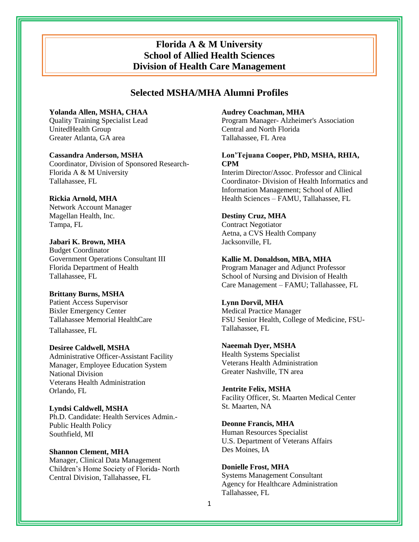# **Florida A & M University School of Allied Health Sciences Division of Health Care Management**

# **Selected MSHA/MHA Alumni Profiles**

# **Yolanda Allen, MSHA, CHAA**

Quality Training Specialist Lead UnitedHealth Group Greater Atlanta, GA area

## **Cassandra Anderson, MSHA**

Coordinator, Division of Sponsored Research-Florida A & M University Tallahassee, FL

## **Rickia Arnold, MHA**

Network Account Manager Magellan Health, Inc. Tampa, FL

**Jabari K. Brown, MHA** Budget Coordinator Government Operations Consultant III Florida Department of Health Tallahassee, FL

#### **Brittany Burns, MSHA**

Patient Access Supervisor Bixler Emergency Center Tallahassee Memorial HealthCare Tallahassee, FL

#### **Desiree Caldwell, MSHA**

Administrative Officer-Assistant Facility Manager, Employee Education System National Division Veterans Health Administration Orlando, FL

**Lyndsi Caldwell, MSHA**  Ph.D. Candidate: Health Services Admin.- Public Health Policy Southfield, MI

# **Shannon Clement, MHA**  Manager, Clinical Data Management Children's Home Society of Florida- North Central Division, Tallahassee, FL

## **Audrey Coachman, MHA**

Program Manager- Alzheimer's Association Central and North Florida Tallahassee, FL Area

# **Lon'Tejuana Cooper, PhD, MSHA, RHIA, CPM**

Interim Director/Assoc. Professor and Clinical Coordinator- Division of Health Informatics and Information Management; School of Allied Health Sciences – FAMU, Tallahassee, FL

# **Destiny Cruz, MHA**

Contract Negotiator Aetna, a CVS Health Company Jacksonville, FL

## **Kallie M. Donaldson, MBA, MHA**

Program Manager and Adjunct Professor School of Nursing and Division of Health Care Management – FAMU; Tallahassee, FL

## **Lynn Dorvil, MHA**

Medical Practice Manager FSU Senior Health, College of Medicine, FSU-Tallahassee, FL

## **Naeemah Dyer, MSHA**

Health Systems Specialist Veterans Health Administration Greater Nashville, TN area

#### **Jentrite Felix, MSHA**  Facility Officer, St. Maarten Medical Center St. Maarten, NA

#### **Deonne Francis, MHA**

Human Resources Specialist U.S. Department of Veterans Affairs Des Moines, IA

# **Donielle Frost, MHA**

Systems Management Consultant Agency for Healthcare Administration Tallahassee, FL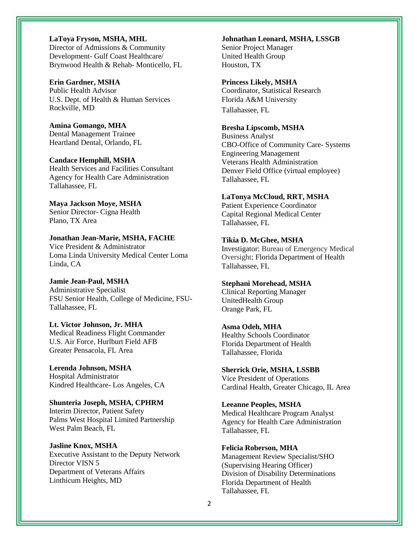**LaToya Fryson, MSHA, MHL**  Director of Admissions & Community Development- Gulf Coast Healthcare/ Brynwood Health & Rehab- Monticello, FL

**Erin Gardner, MSHA**  Public Health Advisor U.S. Dept. of Health & Human Services Rockville, MD

**Amina Gomango, MHA**  Dental Management Trainee Heartland Dental, Orlando, FL

**Candace Hemphill, MSHA**  Health Services and Facilities Consultant Agency for Health Care Administration Tallahassee, FL

**Maya Jackson Moye, MSHA**  Senior Director- Cigna Health Plano, TX Area

**Jonathan Jean-Marie, MSHA, FACHE**  Vice President & Administrator Loma Linda University Medical Center Loma Linda, CA

**Jamie Jean-Paul, MSHA** Administrative Specialist FSU Senior Health, College of Medicine, FSU-Tallahassee, FL

**Lt. Victor Johnson, Jr. MHA**  Medical Readiness Flight Commander U.S. Air Force, Hurlburt Field AFB Greater Pensacola, FL Area

**Lerenda Johnson, MSHA**  Hospital Administrator Kindred Healthcare- Los Angeles, CA

**Shunteria Joseph, MSHA, CPHRM** Interim Director, Patient Safety Palms West Hospital Limited Partnership West Palm Beach, FL

**Jasline Knox, MSHA**  Executive Assistant to the Deputy Network Director VISN 5 Department of Veterans Affairs Linthicum Heights, MD

**Johnathan Leonard, MSHA, LSSGB** 

Senior Project Manager United Health Group Houston, TX

**Princess Likely, MSHA**

Coordinator, Statistical Research Florida A&M University Tallahassee, FL

# **Bresha Lipscomb, MSHA**

Business Analyst CBO-Office of Community Care- Systems Engineering Management Veterans Health Administration Denver Field Office (virtual employee) Tallahassee, FL

#### **LaTonya McCloud, RRT, MSHA**

Patient Experience Coordinator Capital Regional Medical Center Tallahassee, FL

### **Tikia D. McGhee, MSHA**

Investigator: Bureau of Emergency Medical Oversight; Florida Department of Health Tallahassee, FL

#### **Stephani Morehead, MSHA**

Clinical Reporting Manager UnitedHealth Group Orange Park, FL

#### **Asma Odeh, MHA**

Healthy Schools Coordinator Florida Department of Health Tallahassee, Florida

#### **Sherrick Orie, MSHA, LSSBB**

Vice President of Operations Cardinal Health, Greater Chicago, IL Area

**Leeanne Peoples, MSHA** Medical Healthcare Program Analyst Agency for Health Care Administration Tallahassee, FL

**Felicia Roberson, MHA** Management Review Specialist/SHO (Supervising Hearing Officer) Division of Disability Determinations Florida Department of Health Tallahassee, FL